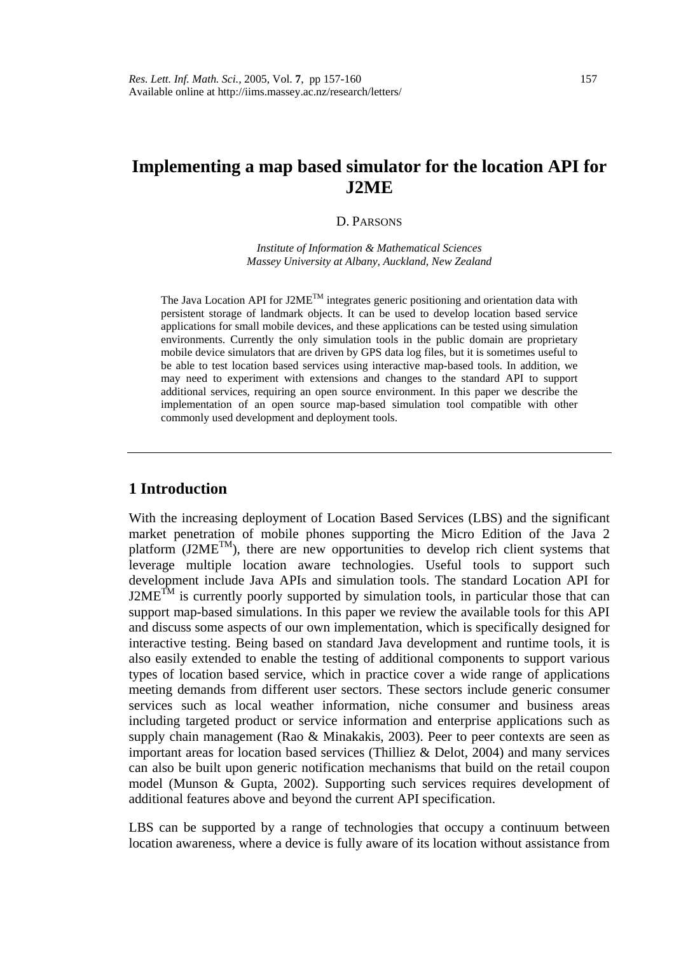# **Implementing a map based simulator for the location API for J2ME**

#### D. PARSONS

*Institute of Information & Mathematical Sciences Massey University at Albany, Auckland, New Zealand* 

The Java Location API for  $J2ME^{TM}$  integrates generic positioning and orientation data with persistent storage of landmark objects. It can be used to develop location based service applications for small mobile devices, and these applications can be tested using simulation environments. Currently the only simulation tools in the public domain are proprietary mobile device simulators that are driven by GPS data log files, but it is sometimes useful to be able to test location based services using interactive map-based tools. In addition, we may need to experiment with extensions and changes to the standard API to support additional services, requiring an open source environment. In this paper we describe the implementation of an open source map-based simulation tool compatible with other commonly used development and deployment tools.

## **1 Introduction**

With the increasing deployment of Location Based Services (LBS) and the significant market penetration of mobile phones supporting the Micro Edition of the Java 2 platform  $(J2ME^{TM})$ , there are new opportunities to develop rich client systems that leverage multiple location aware technologies. Useful tools to support such development include Java APIs and simulation tools. The standard Location API for  $J2ME^{TM}$  is currently poorly supported by simulation tools, in particular those that can support map-based simulations. In this paper we review the available tools for this API and discuss some aspects of our own implementation, which is specifically designed for interactive testing. Being based on standard Java development and runtime tools, it is also easily extended to enable the testing of additional components to support various types of location based service, which in practice cover a wide range of applications meeting demands from different user sectors. These sectors include generic consumer services such as local weather information, niche consumer and business areas including targeted product or service information and enterprise applications such as supply chain management (Rao & Minakakis, 2003). Peer to peer contexts are seen as important areas for location based services (Thilliez & Delot, 2004) and many services can also be built upon generic notification mechanisms that build on the retail coupon model (Munson & Gupta, 2002). Supporting such services requires development of additional features above and beyond the current API specification.

LBS can be supported by a range of technologies that occupy a continuum between location awareness, where a device is fully aware of its location without assistance from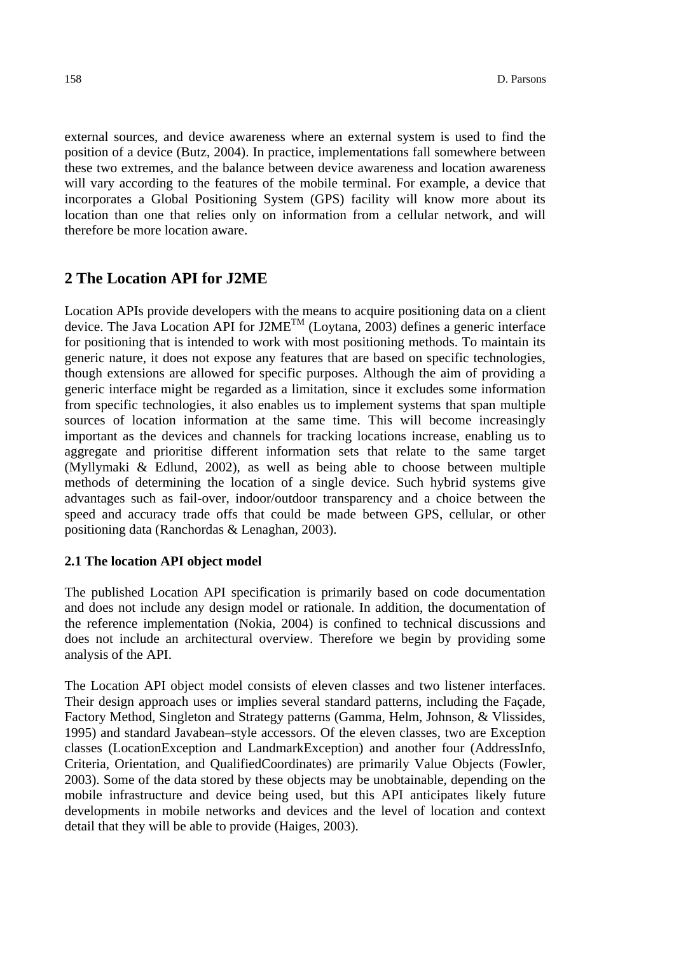external sources, and device awareness where an external system is used to find the position of a device (Butz, 2004). In practice, implementations fall somewhere between these two extremes, and the balance between device awareness and location awareness will vary according to the features of the mobile terminal. For example, a device that incorporates a Global Positioning System (GPS) facility will know more about its location than one that relies only on information from a cellular network, and will therefore be more location aware.

# **2 The Location API for J2ME**

Location APIs provide developers with the means to acquire positioning data on a client device. The Java Location API for J2ME<sup>TM</sup> (Loytana, 2003) defines a generic interface for positioning that is intended to work with most positioning methods. To maintain its generic nature, it does not expose any features that are based on specific technologies, though extensions are allowed for specific purposes. Although the aim of providing a generic interface might be regarded as a limitation, since it excludes some information from specific technologies, it also enables us to implement systems that span multiple sources of location information at the same time. This will become increasingly important as the devices and channels for tracking locations increase, enabling us to aggregate and prioritise different information sets that relate to the same target (Myllymaki & Edlund, 2002), as well as being able to choose between multiple methods of determining the location of a single device. Such hybrid systems give advantages such as fail-over, indoor/outdoor transparency and a choice between the speed and accuracy trade offs that could be made between GPS, cellular, or other positioning data (Ranchordas & Lenaghan, 2003).

### **2.1 The location API object model**

The published Location API specification is primarily based on code documentation and does not include any design model or rationale. In addition, the documentation of the reference implementation (Nokia, 2004) is confined to technical discussions and does not include an architectural overview. Therefore we begin by providing some analysis of the API.

The Location API object model consists of eleven classes and two listener interfaces. Their design approach uses or implies several standard patterns, including the Façade, Factory Method, Singleton and Strategy patterns (Gamma, Helm, Johnson, & Vlissides, 1995) and standard Javabean–style accessors. Of the eleven classes, two are Exception classes (LocationException and LandmarkException) and another four (AddressInfo, Criteria, Orientation, and QualifiedCoordinates) are primarily Value Objects (Fowler, 2003). Some of the data stored by these objects may be unobtainable, depending on the mobile infrastructure and device being used, but this API anticipates likely future developments in mobile networks and devices and the level of location and context detail that they will be able to provide (Haiges, 2003).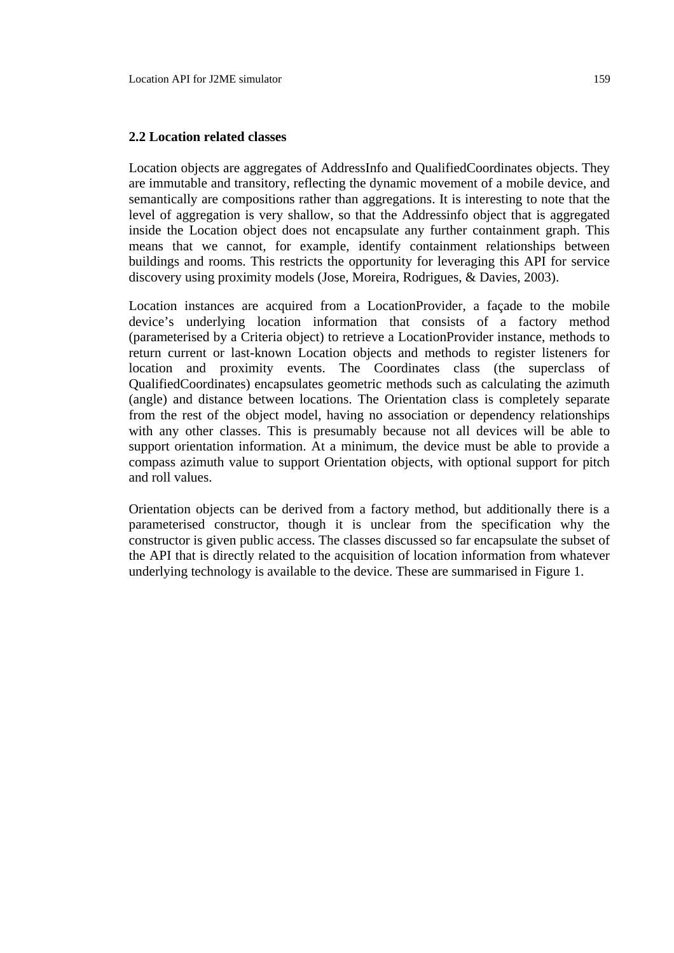#### **2.2 Location related classes**

Location objects are aggregates of AddressInfo and QualifiedCoordinates objects. They are immutable and transitory, reflecting the dynamic movement of a mobile device, and semantically are compositions rather than aggregations. It is interesting to note that the level of aggregation is very shallow, so that the Addressinfo object that is aggregated inside the Location object does not encapsulate any further containment graph. This means that we cannot, for example, identify containment relationships between buildings and rooms. This restricts the opportunity for leveraging this API for service discovery using proximity models (Jose, Moreira, Rodrigues, & Davies, 2003).

Location instances are acquired from a LocationProvider, a façade to the mobile device's underlying location information that consists of a factory method (parameterised by a Criteria object) to retrieve a LocationProvider instance, methods to return current or last-known Location objects and methods to register listeners for location and proximity events. The Coordinates class (the superclass of QualifiedCoordinates) encapsulates geometric methods such as calculating the azimuth (angle) and distance between locations. The Orientation class is completely separate from the rest of the object model, having no association or dependency relationships with any other classes. This is presumably because not all devices will be able to support orientation information. At a minimum, the device must be able to provide a compass azimuth value to support Orientation objects, with optional support for pitch and roll values.

Orientation objects can be derived from a factory method, but additionally there is a parameterised constructor, though it is unclear from the specification why the constructor is given public access. The classes discussed so far encapsulate the subset of the API that is directly related to the acquisition of location information from whatever underlying technology is available to the device. These are summarised in Figure 1.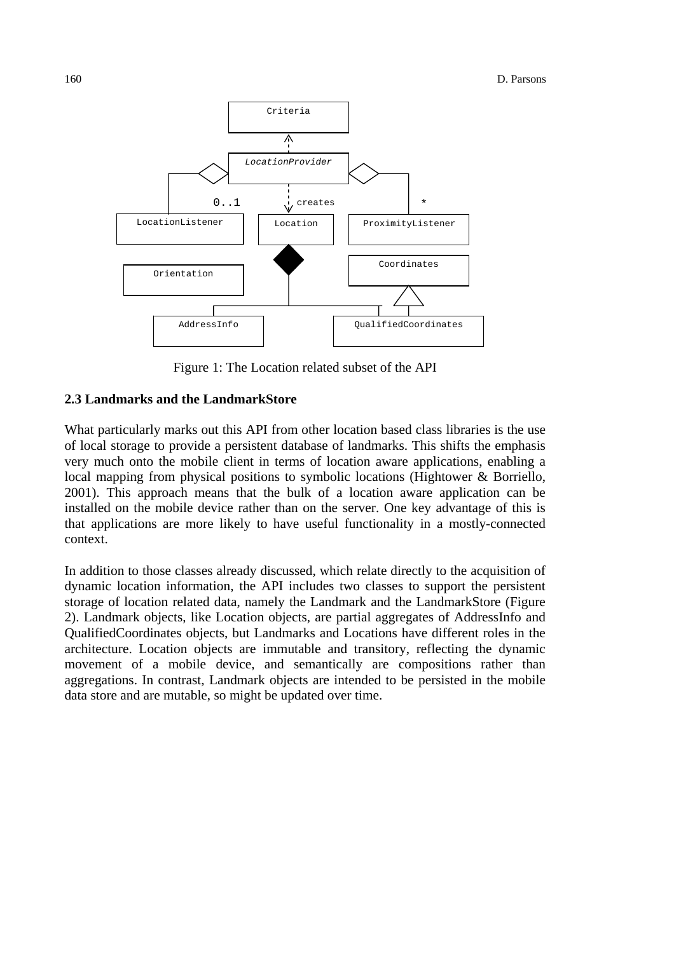

Figure 1: The Location related subset of the API

#### **2.3 Landmarks and the LandmarkStore**

What particularly marks out this API from other location based class libraries is the use of local storage to provide a persistent database of landmarks. This shifts the emphasis very much onto the mobile client in terms of location aware applications, enabling a local mapping from physical positions to symbolic locations (Hightower & Borriello, 2001). This approach means that the bulk of a location aware application can be installed on the mobile device rather than on the server. One key advantage of this is that applications are more likely to have useful functionality in a mostly-connected context.

In addition to those classes already discussed, which relate directly to the acquisition of dynamic location information, the API includes two classes to support the persistent storage of location related data, namely the Landmark and the LandmarkStore (Figure 2). Landmark objects, like Location objects, are partial aggregates of AddressInfo and QualifiedCoordinates objects, but Landmarks and Locations have different roles in the architecture. Location objects are immutable and transitory, reflecting the dynamic movement of a mobile device, and semantically are compositions rather than aggregations. In contrast, Landmark objects are intended to be persisted in the mobile data store and are mutable, so might be updated over time.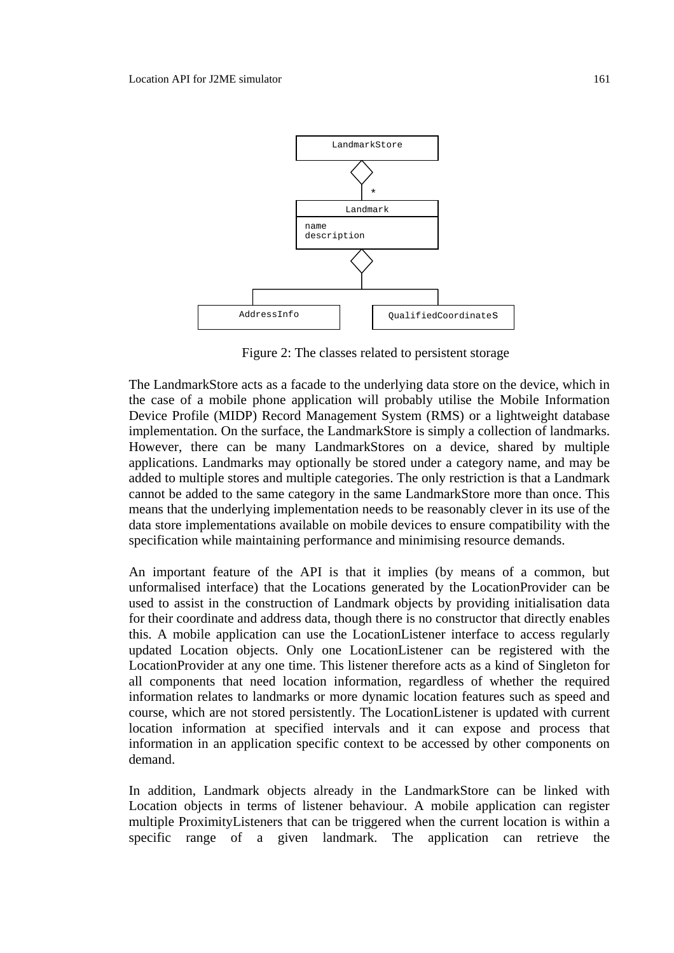

Figure 2: The classes related to persistent storage

The LandmarkStore acts as a facade to the underlying data store on the device, which in the case of a mobile phone application will probably utilise the Mobile Information Device Profile (MIDP) Record Management System (RMS) or a lightweight database implementation. On the surface, the LandmarkStore is simply a collection of landmarks. However, there can be many LandmarkStores on a device, shared by multiple applications. Landmarks may optionally be stored under a category name, and may be added to multiple stores and multiple categories. The only restriction is that a Landmark cannot be added to the same category in the same LandmarkStore more than once. This means that the underlying implementation needs to be reasonably clever in its use of the data store implementations available on mobile devices to ensure compatibility with the specification while maintaining performance and minimising resource demands.

An important feature of the API is that it implies (by means of a common, but unformalised interface) that the Locations generated by the LocationProvider can be used to assist in the construction of Landmark objects by providing initialisation data for their coordinate and address data, though there is no constructor that directly enables this. A mobile application can use the LocationListener interface to access regularly updated Location objects. Only one LocationListener can be registered with the LocationProvider at any one time. This listener therefore acts as a kind of Singleton for all components that need location information, regardless of whether the required information relates to landmarks or more dynamic location features such as speed and course, which are not stored persistently. The LocationListener is updated with current location information at specified intervals and it can expose and process that information in an application specific context to be accessed by other components on demand.

In addition, Landmark objects already in the LandmarkStore can be linked with Location objects in terms of listener behaviour. A mobile application can register multiple ProximityListeners that can be triggered when the current location is within a specific range of a given landmark. The application can retrieve the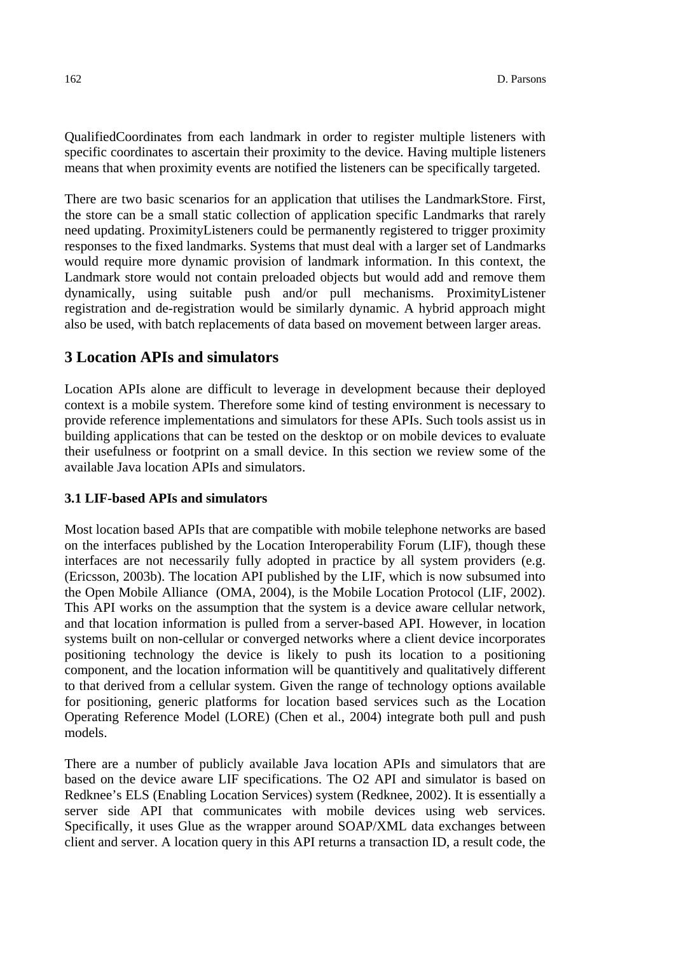QualifiedCoordinates from each landmark in order to register multiple listeners with specific coordinates to ascertain their proximity to the device. Having multiple listeners means that when proximity events are notified the listeners can be specifically targeted.

There are two basic scenarios for an application that utilises the LandmarkStore. First, the store can be a small static collection of application specific Landmarks that rarely need updating. ProximityListeners could be permanently registered to trigger proximity responses to the fixed landmarks. Systems that must deal with a larger set of Landmarks would require more dynamic provision of landmark information. In this context, the Landmark store would not contain preloaded objects but would add and remove them dynamically, using suitable push and/or pull mechanisms. ProximityListener registration and de-registration would be similarly dynamic. A hybrid approach might also be used, with batch replacements of data based on movement between larger areas.

# **3 Location APIs and simulators**

Location APIs alone are difficult to leverage in development because their deployed context is a mobile system. Therefore some kind of testing environment is necessary to provide reference implementations and simulators for these APIs. Such tools assist us in building applications that can be tested on the desktop or on mobile devices to evaluate their usefulness or footprint on a small device. In this section we review some of the available Java location APIs and simulators.

### **3.1 LIF-based APIs and simulators**

Most location based APIs that are compatible with mobile telephone networks are based on the interfaces published by the Location Interoperability Forum (LIF), though these interfaces are not necessarily fully adopted in practice by all system providers (e.g. (Ericsson, 2003b). The location API published by the LIF, which is now subsumed into the Open Mobile Alliance (OMA, 2004), is the Mobile Location Protocol (LIF, 2002). This API works on the assumption that the system is a device aware cellular network, and that location information is pulled from a server-based API. However, in location systems built on non-cellular or converged networks where a client device incorporates positioning technology the device is likely to push its location to a positioning component, and the location information will be quantitively and qualitatively different to that derived from a cellular system. Given the range of technology options available for positioning, generic platforms for location based services such as the Location Operating Reference Model (LORE) (Chen et al., 2004) integrate both pull and push models.

There are a number of publicly available Java location APIs and simulators that are based on the device aware LIF specifications. The O2 API and simulator is based on Redknee's ELS (Enabling Location Services) system (Redknee, 2002). It is essentially a server side API that communicates with mobile devices using web services. Specifically, it uses Glue as the wrapper around SOAP/XML data exchanges between client and server. A location query in this API returns a transaction ID, a result code, the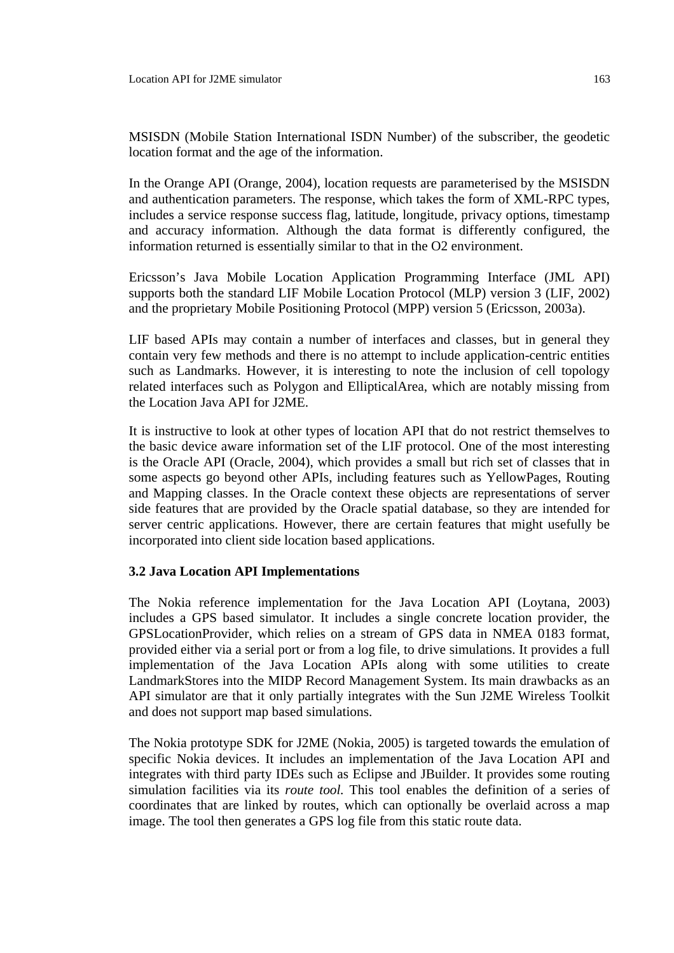MSISDN (Mobile Station International ISDN Number) of the subscriber, the geodetic location format and the age of the information.

In the Orange API (Orange, 2004), location requests are parameterised by the MSISDN and authentication parameters. The response, which takes the form of XML-RPC types, includes a service response success flag, latitude, longitude, privacy options, timestamp and accuracy information. Although the data format is differently configured, the information returned is essentially similar to that in the O2 environment.

Ericsson's Java Mobile Location Application Programming Interface (JML API) supports both the standard LIF Mobile Location Protocol (MLP) version 3 (LIF, 2002) and the proprietary Mobile Positioning Protocol (MPP) version 5 (Ericsson, 2003a).

LIF based APIs may contain a number of interfaces and classes, but in general they contain very few methods and there is no attempt to include application-centric entities such as Landmarks. However, it is interesting to note the inclusion of cell topology related interfaces such as Polygon and EllipticalArea, which are notably missing from the Location Java API for J2ME.

It is instructive to look at other types of location API that do not restrict themselves to the basic device aware information set of the LIF protocol. One of the most interesting is the Oracle API (Oracle, 2004), which provides a small but rich set of classes that in some aspects go beyond other APIs, including features such as YellowPages, Routing and Mapping classes. In the Oracle context these objects are representations of server side features that are provided by the Oracle spatial database, so they are intended for server centric applications. However, there are certain features that might usefully be incorporated into client side location based applications.

### **3.2 Java Location API Implementations**

The Nokia reference implementation for the Java Location API (Loytana, 2003) includes a GPS based simulator. It includes a single concrete location provider, the GPSLocationProvider, which relies on a stream of GPS data in NMEA 0183 format, provided either via a serial port or from a log file, to drive simulations. It provides a full implementation of the Java Location APIs along with some utilities to create LandmarkStores into the MIDP Record Management System. Its main drawbacks as an API simulator are that it only partially integrates with the Sun J2ME Wireless Toolkit and does not support map based simulations.

The Nokia prototype SDK for J2ME (Nokia, 2005) is targeted towards the emulation of specific Nokia devices. It includes an implementation of the Java Location API and integrates with third party IDEs such as Eclipse and JBuilder. It provides some routing simulation facilities via its *route tool.* This tool enables the definition of a series of coordinates that are linked by routes, which can optionally be overlaid across a map image. The tool then generates a GPS log file from this static route data.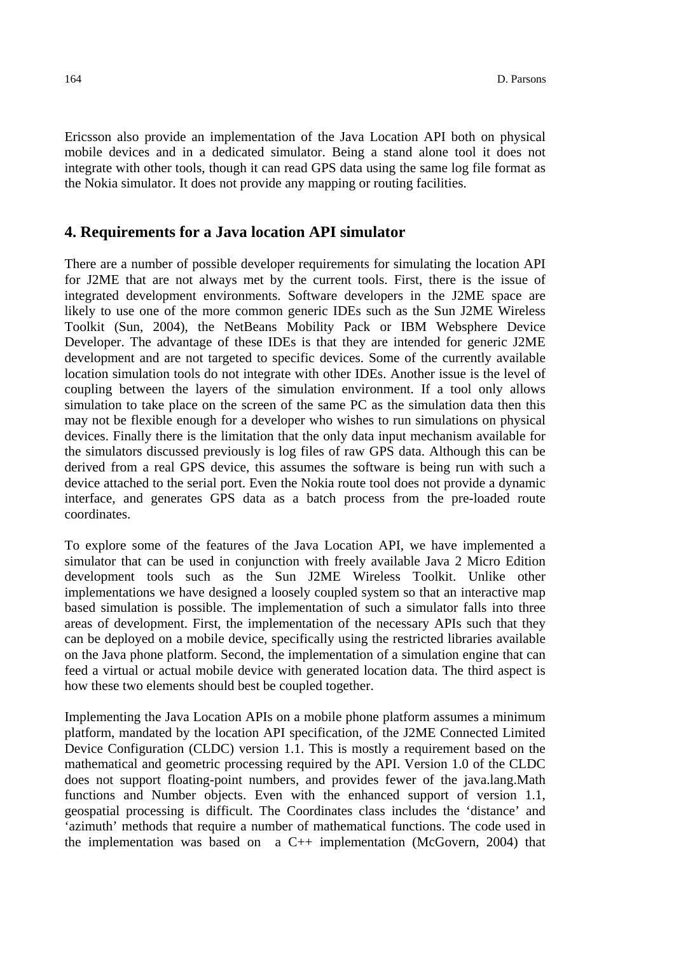Ericsson also provide an implementation of the Java Location API both on physical mobile devices and in a dedicated simulator. Being a stand alone tool it does not integrate with other tools, though it can read GPS data using the same log file format as the Nokia simulator. It does not provide any mapping or routing facilities.

## **4. Requirements for a Java location API simulator**

There are a number of possible developer requirements for simulating the location API for J2ME that are not always met by the current tools. First, there is the issue of integrated development environments. Software developers in the J2ME space are likely to use one of the more common generic IDEs such as the Sun J2ME Wireless Toolkit (Sun, 2004), the NetBeans Mobility Pack or IBM Websphere Device Developer. The advantage of these IDEs is that they are intended for generic J2ME development and are not targeted to specific devices. Some of the currently available location simulation tools do not integrate with other IDEs. Another issue is the level of coupling between the layers of the simulation environment. If a tool only allows simulation to take place on the screen of the same PC as the simulation data then this may not be flexible enough for a developer who wishes to run simulations on physical devices. Finally there is the limitation that the only data input mechanism available for the simulators discussed previously is log files of raw GPS data. Although this can be derived from a real GPS device, this assumes the software is being run with such a device attached to the serial port. Even the Nokia route tool does not provide a dynamic interface, and generates GPS data as a batch process from the pre-loaded route coordinates.

To explore some of the features of the Java Location API, we have implemented a simulator that can be used in conjunction with freely available Java 2 Micro Edition development tools such as the Sun J2ME Wireless Toolkit. Unlike other implementations we have designed a loosely coupled system so that an interactive map based simulation is possible. The implementation of such a simulator falls into three areas of development. First, the implementation of the necessary APIs such that they can be deployed on a mobile device, specifically using the restricted libraries available on the Java phone platform. Second, the implementation of a simulation engine that can feed a virtual or actual mobile device with generated location data. The third aspect is how these two elements should best be coupled together.

Implementing the Java Location APIs on a mobile phone platform assumes a minimum platform, mandated by the location API specification, of the J2ME Connected Limited Device Configuration (CLDC) version 1.1. This is mostly a requirement based on the mathematical and geometric processing required by the API. Version 1.0 of the CLDC does not support floating-point numbers, and provides fewer of the java.lang.Math functions and Number objects. Even with the enhanced support of version 1.1, geospatial processing is difficult. The Coordinates class includes the 'distance' and 'azimuth' methods that require a number of mathematical functions. The code used in the implementation was based on a C++ implementation (McGovern, 2004) that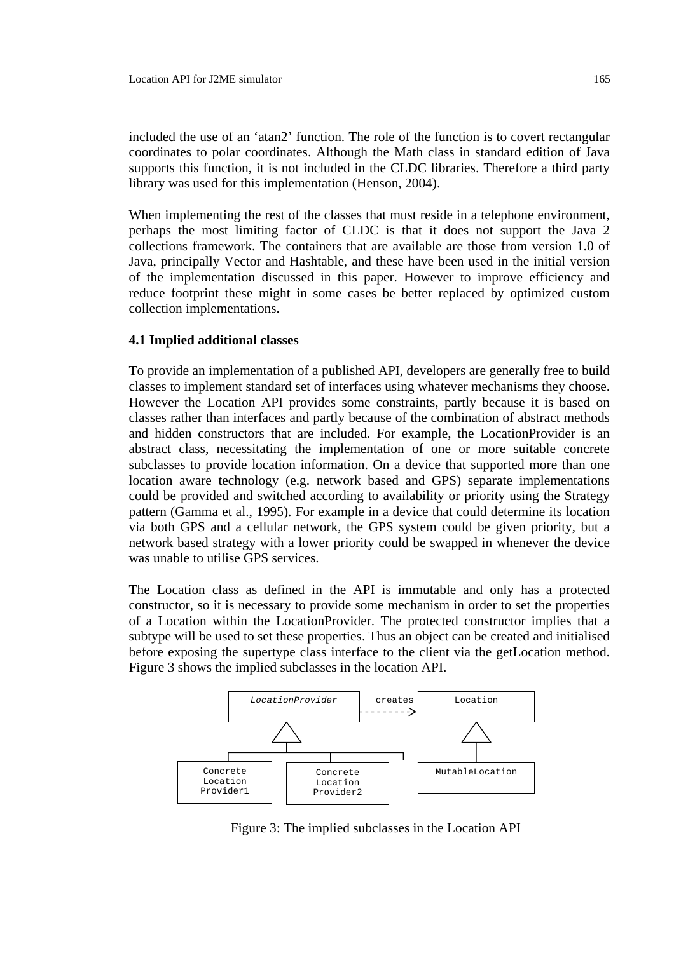included the use of an 'atan2' function. The role of the function is to covert rectangular coordinates to polar coordinates. Although the Math class in standard edition of Java supports this function, it is not included in the CLDC libraries. Therefore a third party library was used for this implementation (Henson, 2004).

When implementing the rest of the classes that must reside in a telephone environment, perhaps the most limiting factor of CLDC is that it does not support the Java 2 collections framework. The containers that are available are those from version 1.0 of Java, principally Vector and Hashtable, and these have been used in the initial version of the implementation discussed in this paper. However to improve efficiency and reduce footprint these might in some cases be better replaced by optimized custom collection implementations.

#### **4.1 Implied additional classes**

To provide an implementation of a published API, developers are generally free to build classes to implement standard set of interfaces using whatever mechanisms they choose. However the Location API provides some constraints, partly because it is based on classes rather than interfaces and partly because of the combination of abstract methods and hidden constructors that are included. For example, the LocationProvider is an abstract class, necessitating the implementation of one or more suitable concrete subclasses to provide location information. On a device that supported more than one location aware technology (e.g. network based and GPS) separate implementations could be provided and switched according to availability or priority using the Strategy pattern (Gamma et al., 1995). For example in a device that could determine its location via both GPS and a cellular network, the GPS system could be given priority, but a network based strategy with a lower priority could be swapped in whenever the device was unable to utilise GPS services.

The Location class as defined in the API is immutable and only has a protected constructor, so it is necessary to provide some mechanism in order to set the properties of a Location within the LocationProvider. The protected constructor implies that a subtype will be used to set these properties. Thus an object can be created and initialised before exposing the supertype class interface to the client via the getLocation method. Figure 3 shows the implied subclasses in the location API.



Figure 3: The implied subclasses in the Location API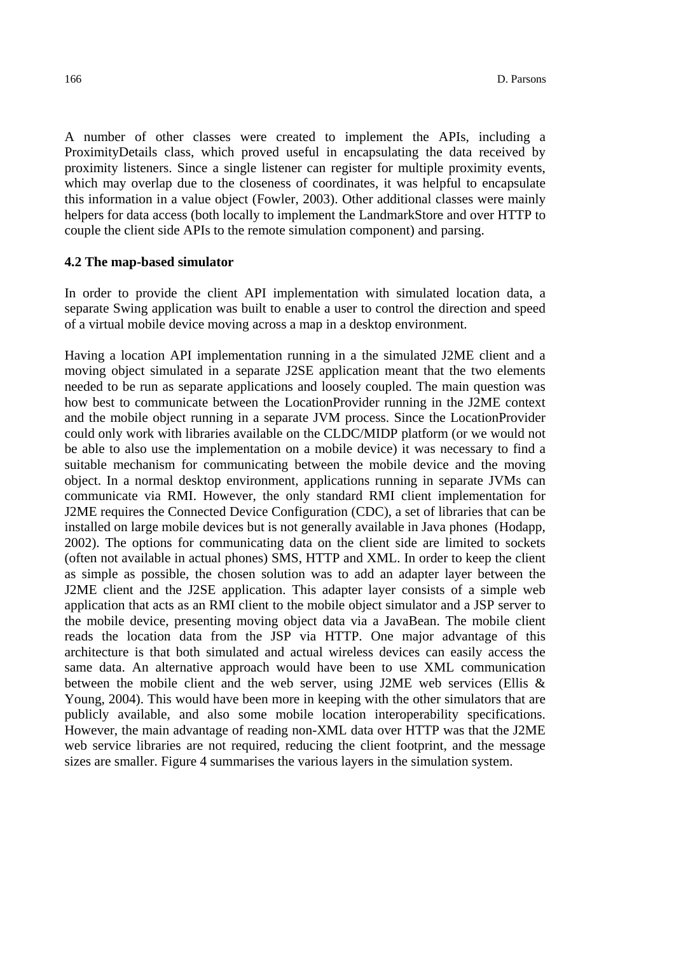A number of other classes were created to implement the APIs, including a ProximityDetails class, which proved useful in encapsulating the data received by proximity listeners. Since a single listener can register for multiple proximity events, which may overlap due to the closeness of coordinates, it was helpful to encapsulate this information in a value object (Fowler, 2003). Other additional classes were mainly helpers for data access (both locally to implement the LandmarkStore and over HTTP to couple the client side APIs to the remote simulation component) and parsing.

#### **4.2 The map-based simulator**

In order to provide the client API implementation with simulated location data, a separate Swing application was built to enable a user to control the direction and speed of a virtual mobile device moving across a map in a desktop environment.

Having a location API implementation running in a the simulated J2ME client and a moving object simulated in a separate J2SE application meant that the two elements needed to be run as separate applications and loosely coupled. The main question was how best to communicate between the LocationProvider running in the J2ME context and the mobile object running in a separate JVM process. Since the LocationProvider could only work with libraries available on the CLDC/MIDP platform (or we would not be able to also use the implementation on a mobile device) it was necessary to find a suitable mechanism for communicating between the mobile device and the moving object. In a normal desktop environment, applications running in separate JVMs can communicate via RMI. However, the only standard RMI client implementation for J2ME requires the Connected Device Configuration (CDC), a set of libraries that can be installed on large mobile devices but is not generally available in Java phones (Hodapp, 2002). The options for communicating data on the client side are limited to sockets (often not available in actual phones) SMS, HTTP and XML. In order to keep the client as simple as possible, the chosen solution was to add an adapter layer between the J2ME client and the J2SE application. This adapter layer consists of a simple web application that acts as an RMI client to the mobile object simulator and a JSP server to the mobile device, presenting moving object data via a JavaBean. The mobile client reads the location data from the JSP via HTTP. One major advantage of this architecture is that both simulated and actual wireless devices can easily access the same data. An alternative approach would have been to use XML communication between the mobile client and the web server, using J2ME web services (Ellis & Young, 2004). This would have been more in keeping with the other simulators that are publicly available, and also some mobile location interoperability specifications. However, the main advantage of reading non-XML data over HTTP was that the J2ME web service libraries are not required, reducing the client footprint, and the message sizes are smaller. Figure 4 summarises the various layers in the simulation system.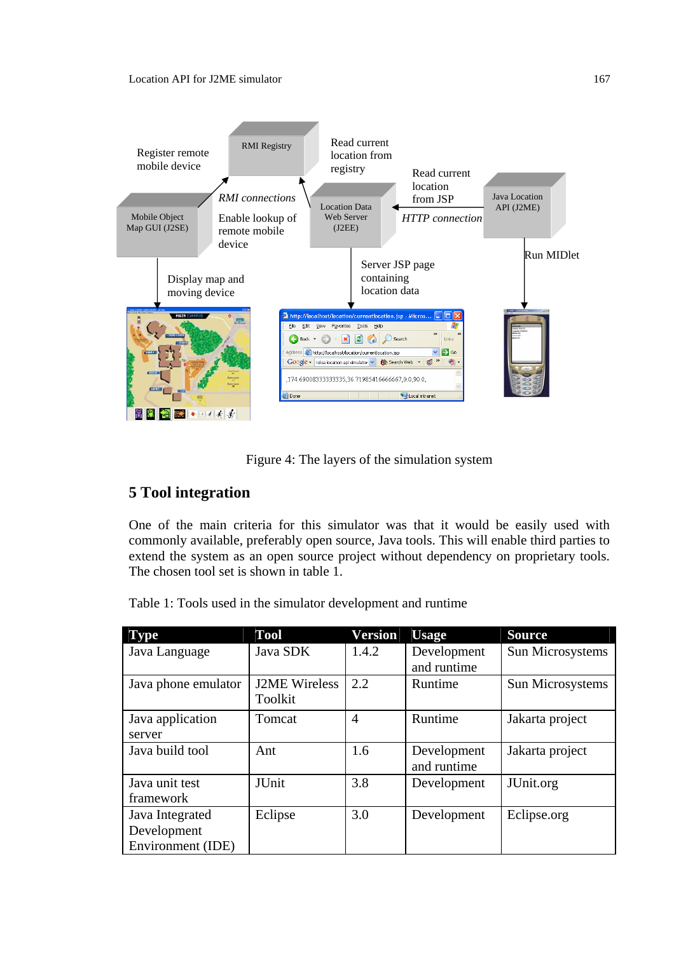

Figure 4: The layers of the simulation system

# **5 Tool integration**

One of the main criteria for this simulator was that it would be easily used with commonly available, preferably open source, Java tools. This will enable third parties to extend the system as an open source project without dependency on proprietary tools. The chosen tool set is shown in table 1.

Table 1: Tools used in the simulator development and runtime

| <b>Type</b>         | Tool                 | Version | <b>Usage</b> | <b>Source</b>    |
|---------------------|----------------------|---------|--------------|------------------|
| Java Language       | Java SDK             | 1.4.2   | Development  | Sun Microsystems |
|                     |                      |         | and runtime  |                  |
| Java phone emulator | <b>J2ME</b> Wireless | 2.2     | Runtime      | Sun Microsystems |
|                     | Toolkit              |         |              |                  |
| Java application    | Tomcat               | 4       | Runtime      | Jakarta project  |
| server              |                      |         |              |                  |
| Java build tool     | Ant                  | 1.6     | Development  | Jakarta project  |
|                     |                      |         | and runtime  |                  |
| Java unit test      | <b>JUnit</b>         | 3.8     | Development  | JUnit.org        |
| framework           |                      |         |              |                  |
| Java Integrated     | Eclipse              | 3.0     | Development  | Eclipse.org      |
| Development         |                      |         |              |                  |
| Environment (IDE)   |                      |         |              |                  |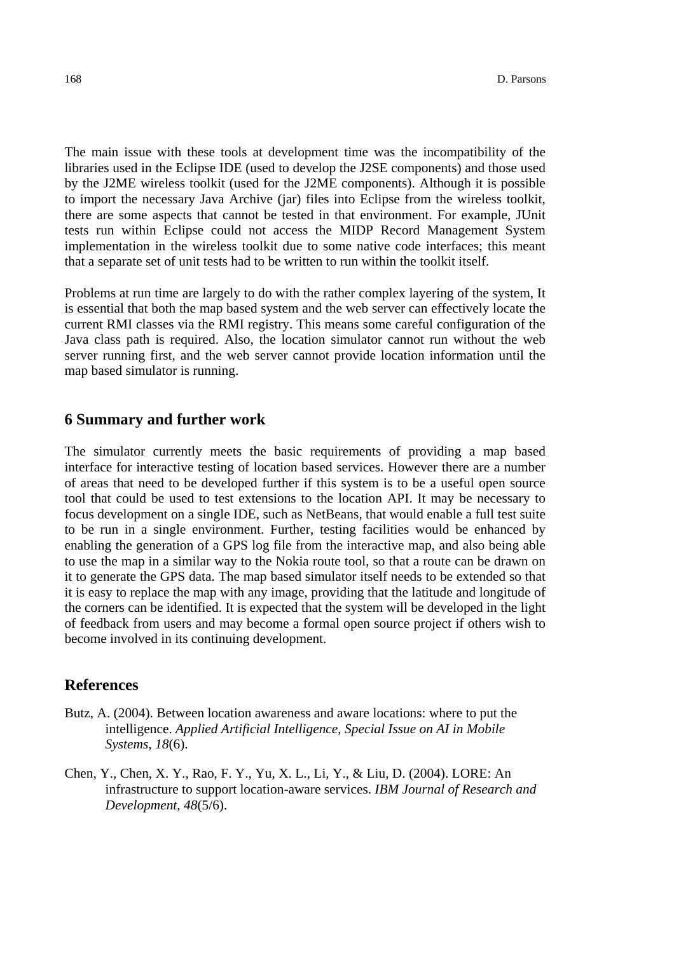The main issue with these tools at development time was the incompatibility of the libraries used in the Eclipse IDE (used to develop the J2SE components) and those used by the J2ME wireless toolkit (used for the J2ME components). Although it is possible to import the necessary Java Archive (jar) files into Eclipse from the wireless toolkit, there are some aspects that cannot be tested in that environment. For example, JUnit tests run within Eclipse could not access the MIDP Record Management System implementation in the wireless toolkit due to some native code interfaces; this meant that a separate set of unit tests had to be written to run within the toolkit itself.

Problems at run time are largely to do with the rather complex layering of the system, It is essential that both the map based system and the web server can effectively locate the current RMI classes via the RMI registry. This means some careful configuration of the Java class path is required. Also, the location simulator cannot run without the web server running first, and the web server cannot provide location information until the map based simulator is running.

# **6 Summary and further work**

The simulator currently meets the basic requirements of providing a map based interface for interactive testing of location based services. However there are a number of areas that need to be developed further if this system is to be a useful open source tool that could be used to test extensions to the location API. It may be necessary to focus development on a single IDE, such as NetBeans, that would enable a full test suite to be run in a single environment. Further, testing facilities would be enhanced by enabling the generation of a GPS log file from the interactive map, and also being able to use the map in a similar way to the Nokia route tool, so that a route can be drawn on it to generate the GPS data. The map based simulator itself needs to be extended so that it is easy to replace the map with any image, providing that the latitude and longitude of the corners can be identified. It is expected that the system will be developed in the light of feedback from users and may become a formal open source project if others wish to become involved in its continuing development.

# **References**

- Butz, A. (2004). Between location awareness and aware locations: where to put the intelligence. *Applied Artificial Intelligence, Special Issue on AI in Mobile Systems, 18*(6).
- Chen, Y., Chen, X. Y., Rao, F. Y., Yu, X. L., Li, Y., & Liu, D. (2004). LORE: An infrastructure to support location-aware services. *IBM Journal of Research and Development, 48*(5/6).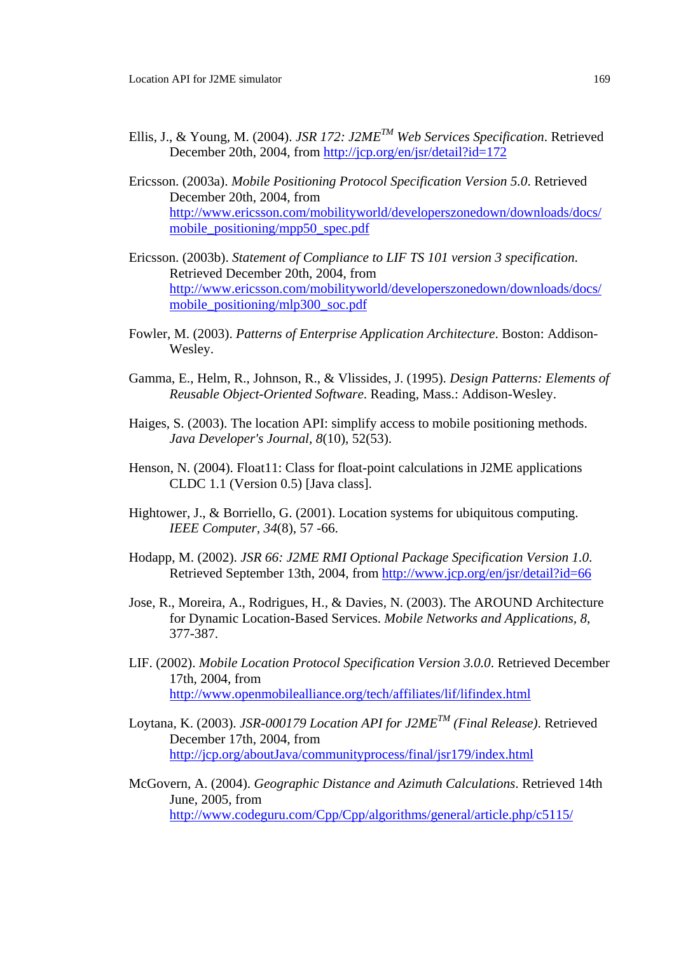- Ellis, J., & Young, M. (2004). *JSR 172: J2METM Web Services Specification*. Retrieved December 20th, 2004, from http://jcp.org/en/jsr/detail?id=172
- Ericsson. (2003a). *Mobile Positioning Protocol Specification Version 5.0*. Retrieved December 20th, 2004, from http://www.ericsson.com/mobilityworld/developerszonedown/downloads/docs/ mobile\_positioning/mpp50\_spec.pdf
- Ericsson. (2003b). *Statement of Compliance to LIF TS 101 version 3 specification*. Retrieved December 20th, 2004, from http://www.ericsson.com/mobilityworld/developerszonedown/downloads/docs/ mobile\_positioning/mlp300\_soc.pdf
- Fowler, M. (2003). *Patterns of Enterprise Application Architecture*. Boston: Addison-Wesley.
- Gamma, E., Helm, R., Johnson, R., & Vlissides, J. (1995). *Design Patterns: Elements of Reusable Object-Oriented Software*. Reading, Mass.: Addison-Wesley.
- Haiges, S. (2003). The location API: simplify access to mobile positioning methods. *Java Developer's Journal, 8*(10), 52(53).
- Henson, N. (2004). Float11: Class for float-point calculations in J2ME applications CLDC 1.1 (Version 0.5) [Java class].
- Hightower, J., & Borriello, G. (2001). Location systems for ubiquitous computing. *IEEE Computer, 34*(8), 57 -66.
- Hodapp, M. (2002). *JSR 66: J2ME RMI Optional Package Specification Version 1.0*. Retrieved September 13th, 2004, from http://www.jcp.org/en/jsr/detail?id=66
- Jose, R., Moreira, A., Rodrigues, H., & Davies, N. (2003). The AROUND Architecture for Dynamic Location-Based Services. *Mobile Networks and Applications, 8*, 377-387.
- LIF. (2002). *Mobile Location Protocol Specification Version 3.0.0*. Retrieved December 17th, 2004, from http://www.openmobilealliance.org/tech/affiliates/lif/lifindex.html
- Loytana, K. (2003). *JSR-000179 Location API for J2METM (Final Release)*. Retrieved December 17th, 2004, from http://jcp.org/aboutJava/communityprocess/final/jsr179/index.html
- McGovern, A. (2004). *Geographic Distance and Azimuth Calculations*. Retrieved 14th June, 2005, from http://www.codeguru.com/Cpp/Cpp/algorithms/general/article.php/c5115/